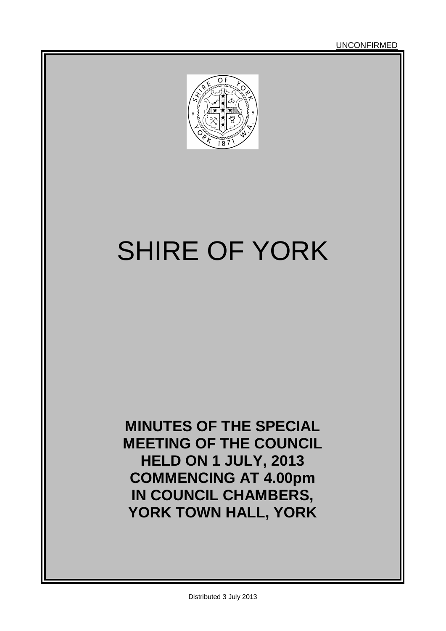UNCONFIRMED



# SHIRE OF YORK

**MINUTES OF THE SPECIAL MEETING OF THE COUNCIL HELD ON 1 JULY, 2013 COMMENCING AT 4.00pm IN COUNCIL CHAMBERS, YORK TOWN HALL, YORK**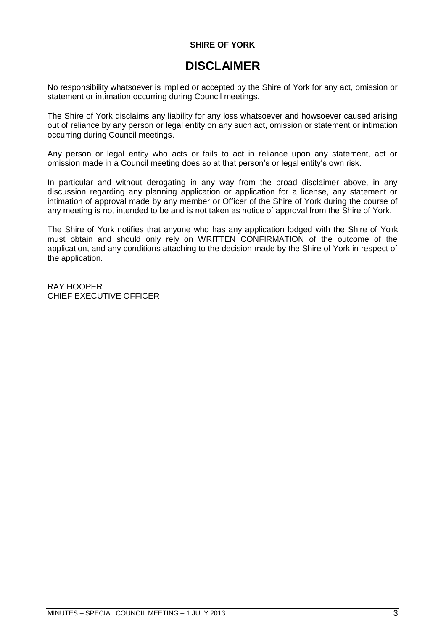#### **SHIRE OF YORK**

### **DISCLAIMER**

No responsibility whatsoever is implied or accepted by the Shire of York for any act, omission or statement or intimation occurring during Council meetings.

The Shire of York disclaims any liability for any loss whatsoever and howsoever caused arising out of reliance by any person or legal entity on any such act, omission or statement or intimation occurring during Council meetings.

Any person or legal entity who acts or fails to act in reliance upon any statement, act or omission made in a Council meeting does so at that person's or legal entity's own risk.

In particular and without derogating in any way from the broad disclaimer above, in any discussion regarding any planning application or application for a license, any statement or intimation of approval made by any member or Officer of the Shire of York during the course of any meeting is not intended to be and is not taken as notice of approval from the Shire of York.

The Shire of York notifies that anyone who has any application lodged with the Shire of York must obtain and should only rely on WRITTEN CONFIRMATION of the outcome of the application, and any conditions attaching to the decision made by the Shire of York in respect of the application.

RAY HOOPER CHIEF EXECUTIVE OFFICER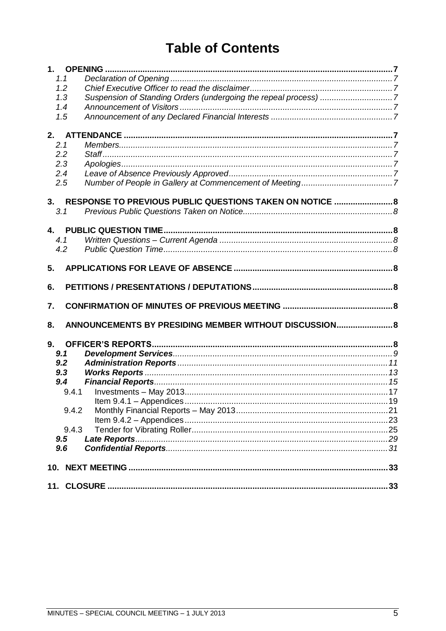### **Table of Contents**

| 1.1          |                                                                 |  |
|--------------|-----------------------------------------------------------------|--|
| 1.2          |                                                                 |  |
| 1.3          | Suspension of Standing Orders (undergoing the repeal process) 7 |  |
| 1.4          |                                                                 |  |
| 1.5          |                                                                 |  |
|              |                                                                 |  |
| 2.           |                                                                 |  |
| 2.1          |                                                                 |  |
| 2.2          |                                                                 |  |
| 2.3          |                                                                 |  |
| 2.4          |                                                                 |  |
| 2.5          |                                                                 |  |
|              |                                                                 |  |
|              | 3. RESPONSE TO PREVIOUS PUBLIC QUESTIONS TAKEN ON NOTICE  8     |  |
| 3.1          |                                                                 |  |
|              |                                                                 |  |
|              |                                                                 |  |
| 4.1          |                                                                 |  |
| 4.2          |                                                                 |  |
| 5.           |                                                                 |  |
|              |                                                                 |  |
|              |                                                                 |  |
| 6.           |                                                                 |  |
|              |                                                                 |  |
| 7.           |                                                                 |  |
|              |                                                                 |  |
| 8.           | ANNOUNCEMENTS BY PRESIDING MEMBER WITHOUT DISCUSSION 8          |  |
|              |                                                                 |  |
| 9.           |                                                                 |  |
| 9.1          |                                                                 |  |
| 9.2          |                                                                 |  |
| 9.3          |                                                                 |  |
| 9.4          |                                                                 |  |
| 9.4.1        |                                                                 |  |
|              |                                                                 |  |
| 9.4.2        |                                                                 |  |
|              |                                                                 |  |
| 9.4.3<br>9.5 |                                                                 |  |
| 9.6          |                                                                 |  |
|              |                                                                 |  |
|              |                                                                 |  |
|              |                                                                 |  |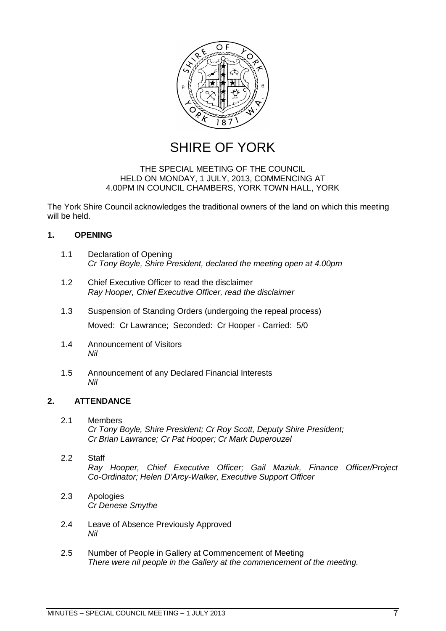

SHIRE OF YORK

#### THE SPECIAL MEETING OF THE COUNCIL HELD ON MONDAY, 1 JULY, 2013, COMMENCING AT 4.00PM IN COUNCIL CHAMBERS, YORK TOWN HALL, YORK

The York Shire Council acknowledges the traditional owners of the land on which this meeting will be held.

#### <span id="page-6-0"></span>**1. OPENING**

- <span id="page-6-1"></span>1.1 Declaration of Opening *Cr Tony Boyle, Shire President, declared the meeting open at 4.00pm*
- <span id="page-6-2"></span>1.2 Chief Executive Officer to read the disclaimer *Ray Hooper, Chief Executive Officer, read the disclaimer*
- <span id="page-6-3"></span>1.3 Suspension of Standing Orders (undergoing the repeal process) Moved: Cr Lawrance; Seconded: Cr Hooper - Carried: 5/0
- <span id="page-6-4"></span>1.4 Announcement of Visitors *Nil*
- <span id="page-6-5"></span>1.5 Announcement of any Declared Financial Interests *Nil*

#### <span id="page-6-6"></span>**2. ATTENDANCE**

- <span id="page-6-7"></span>2.1 Members *Cr Tony Boyle, Shire President; Cr Roy Scott, Deputy Shire President; Cr Brian Lawrance; Cr Pat Hooper; Cr Mark Duperouzel*
- <span id="page-6-8"></span>2.2 Staff *Ray Hooper, Chief Executive Officer; Gail Maziuk, Finance Officer/Project Co-Ordinator; Helen D'Arcy-Walker, Executive Support Officer*
- <span id="page-6-9"></span>2.3 Apologies *Cr Denese Smythe*
- <span id="page-6-10"></span>2.4 Leave of Absence Previously Approved *Nil*
- <span id="page-6-11"></span>2.5 Number of People in Gallery at Commencement of Meeting *There were nil people in the Gallery at the commencement of the meeting.*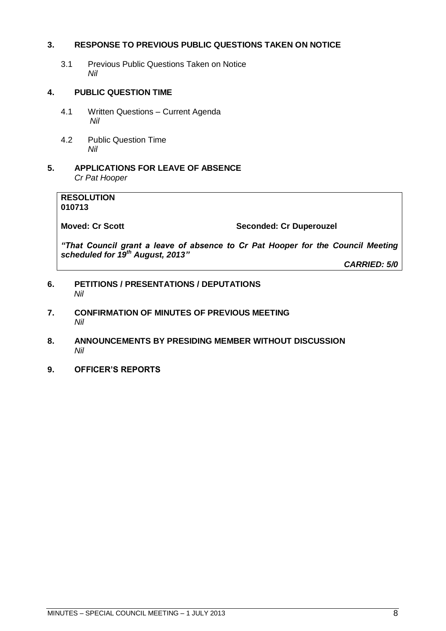#### <span id="page-7-0"></span>**3. RESPONSE TO PREVIOUS PUBLIC QUESTIONS TAKEN ON NOTICE**

<span id="page-7-1"></span>3.1 Previous Public Questions Taken on Notice *Nil*

#### <span id="page-7-2"></span>**4. PUBLIC QUESTION TIME**

- <span id="page-7-3"></span>4.1 Written Questions – Current Agenda *Nil*
- <span id="page-7-4"></span>4.2 Public Question Time *Nil*
- <span id="page-7-5"></span>**5. APPLICATIONS FOR LEAVE OF ABSENCE**  *Cr Pat Hooper*

#### **RESOLUTION 010713**

**Moved: Cr Scott Seconded: Cr Duperouzel**

*"That Council grant a leave of absence to Cr Pat Hooper for the Council Meeting scheduled for 19th August, 2013"*

*CARRIED: 5/0*

- <span id="page-7-6"></span>**6. PETITIONS / PRESENTATIONS / DEPUTATIONS** *Nil*
- <span id="page-7-7"></span>**7. CONFIRMATION OF MINUTES OF PREVIOUS MEETING** *Nil*
- <span id="page-7-8"></span>**8. ANNOUNCEMENTS BY PRESIDING MEMBER WITHOUT DISCUSSION** *Nil*
- <span id="page-7-9"></span>**9. OFFICER'S REPORTS**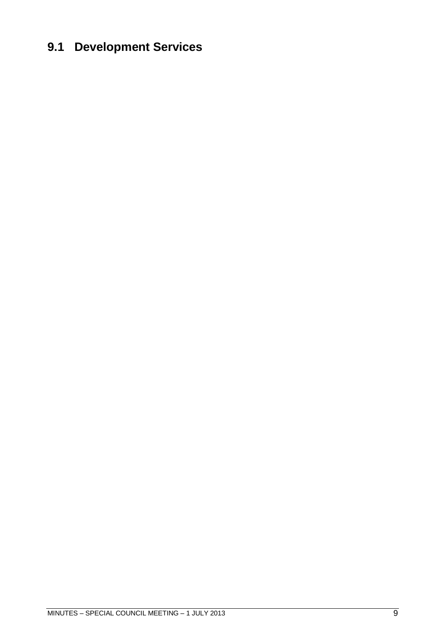# <span id="page-8-0"></span>**9.1 Development Services**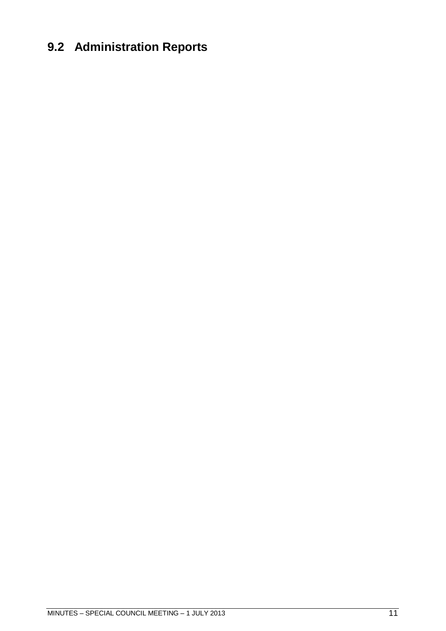# <span id="page-10-0"></span>**9.2 Administration Reports**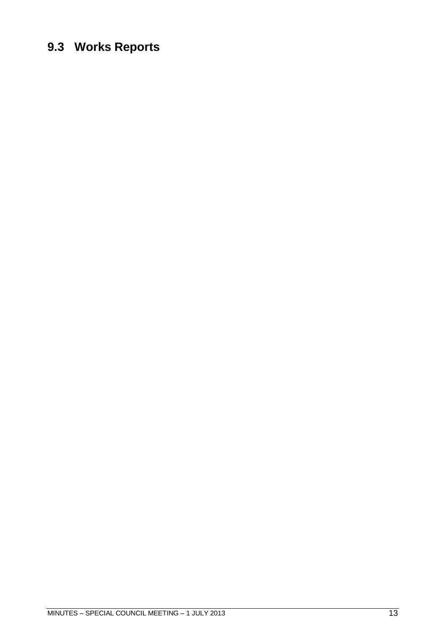### <span id="page-12-0"></span>**9.3 Works Reports**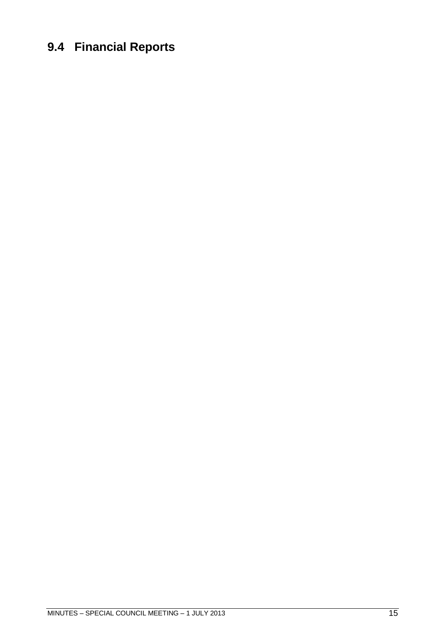# <span id="page-14-0"></span>**9.4 Financial Reports**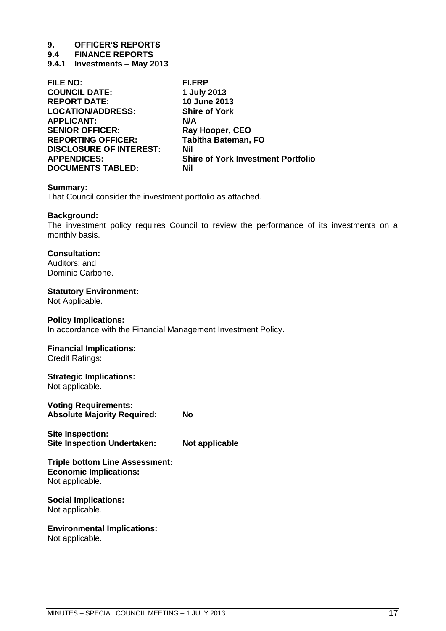# **9. OFFICER'S REPORTS**

**9.4 FINANCE REPORTS**

<span id="page-16-0"></span>**9.4.1 Investments – May 2013**

| FILE NO:                       | <b>FI.FRP</b>                             |
|--------------------------------|-------------------------------------------|
| <b>COUNCIL DATE:</b>           | 1 July 2013                               |
| <b>REPORT DATE:</b>            | 10 June 2013                              |
| <b>LOCATION/ADDRESS:</b>       | <b>Shire of York</b>                      |
| <b>APPLICANT:</b>              | N/A                                       |
| <b>SENIOR OFFICER:</b>         | Ray Hooper, CEO                           |
| <b>REPORTING OFFICER:</b>      | <b>Tabitha Bateman, FO</b>                |
| <b>DISCLOSURE OF INTEREST:</b> | <b>Nil</b>                                |
| <b>APPENDICES:</b>             | <b>Shire of York Investment Portfolio</b> |
| <b>DOCUMENTS TABLED:</b>       | Nil                                       |

#### **Summary:**

That Council consider the investment portfolio as attached.

#### **Background:**

The investment policy requires Council to review the performance of its investments on a monthly basis.

#### **Consultation:**

Auditors; and Dominic Carbone.

#### **Statutory Environment:**

Not Applicable.

#### **Policy Implications:**

In accordance with the Financial Management Investment Policy.

#### **Financial Implications:**

Credit Ratings:

#### **Strategic Implications:**

Not applicable.

**Voting Requirements: Absolute Majority Required: No**

**Site Inspection: Site Inspection Undertaken: Not applicable** 

#### **Triple bottom Line Assessment: Economic Implications:** Not applicable.

#### **Social Implications:** Not applicable.

**Environmental Implications:**

Not applicable.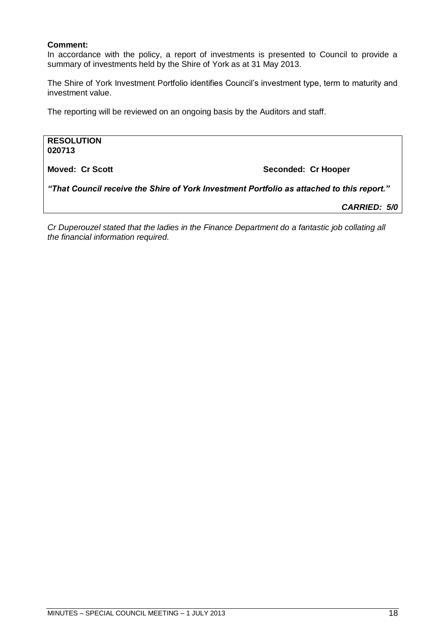#### **Comment:**

In accordance with the policy, a report of investments is presented to Council to provide a summary of investments held by the Shire of York as at 31 May 2013.

The Shire of York Investment Portfolio identifies Council's investment type, term to maturity and investment value.

The reporting will be reviewed on an ongoing basis by the Auditors and staff.

**RESOLUTION 020713 Moved: Cr Scott Seconded: Cr Hooper** *"That Council receive the Shire of York Investment Portfolio as attached to this report."*

*CARRIED: 5/0*

*Cr Duperouzel stated that the ladies in the Finance Department do a fantastic job collating all the financial information required.*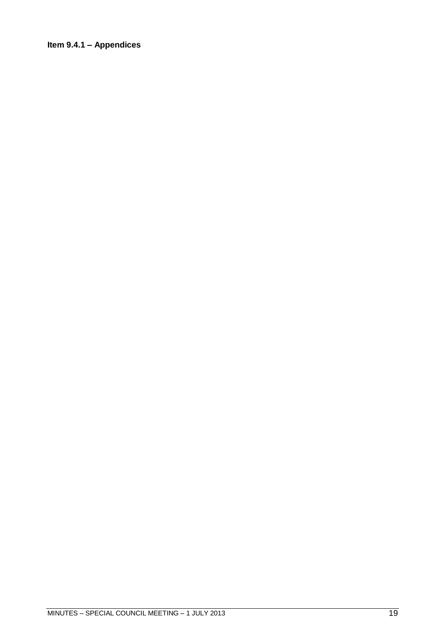#### <span id="page-18-0"></span>**Item 9.4.1 – Appendices**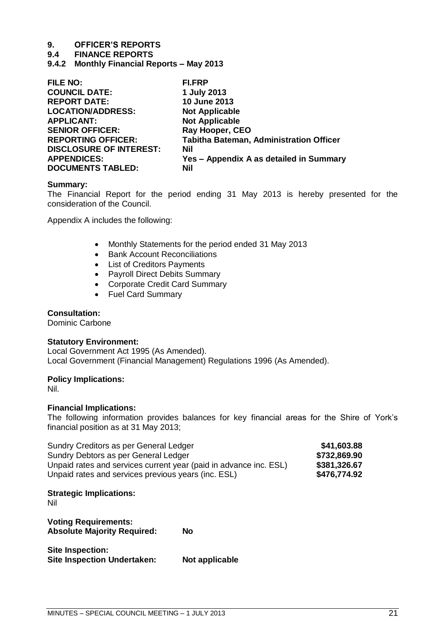# **9. OFFICER'S REPORTS**

#### **9.4 FINANCE REPORTS**

<span id="page-20-0"></span>**9.4.2 Monthly Financial Reports – May 2013**

| <b>FILE NO:</b>                | <b>FI.FRP</b>                                  |
|--------------------------------|------------------------------------------------|
| <b>COUNCIL DATE:</b>           | 1 July 2013                                    |
| <b>REPORT DATE:</b>            | 10 June 2013                                   |
| <b>LOCATION/ADDRESS:</b>       | <b>Not Applicable</b>                          |
| <b>APPLICANT:</b>              | <b>Not Applicable</b>                          |
| <b>SENIOR OFFICER:</b>         | Ray Hooper, CEO                                |
| <b>REPORTING OFFICER:</b>      | <b>Tabitha Bateman, Administration Officer</b> |
| <b>DISCLOSURE OF INTEREST:</b> | Nil                                            |
| <b>APPENDICES:</b>             | Yes - Appendix A as detailed in Summary        |
| <b>DOCUMENTS TABLED:</b>       | Nil                                            |

#### **Summary:**

The Financial Report for the period ending 31 May 2013 is hereby presented for the consideration of the Council.

Appendix A includes the following:

- Monthly Statements for the period ended 31 May 2013
- Bank Account Reconciliations
- List of Creditors Payments
- Payroll Direct Debits Summary
- Corporate Credit Card Summary
- Fuel Card Summary

#### **Consultation:**

Dominic Carbone

#### **Statutory Environment:**

Local Government Act 1995 (As Amended). Local Government (Financial Management) Regulations 1996 (As Amended).

#### **Policy Implications:**

Nil.

#### **Financial Implications:**

The following information provides balances for key financial areas for the Shire of York's financial position as at 31 May 2013;

| Sundry Creditors as per General Ledger                            | \$41,603.88  |
|-------------------------------------------------------------------|--------------|
| Sundry Debtors as per General Ledger                              | \$732,869.90 |
| Unpaid rates and services current year (paid in advance inc. ESL) | \$381,326.67 |
| Unpaid rates and services previous years (inc. ESL)               | \$476,774.92 |

#### **Strategic Implications:**

Nil

**Voting Requirements: Absolute Majority Required: No**

**Site Inspection: Site Inspection Undertaken:** Not applicable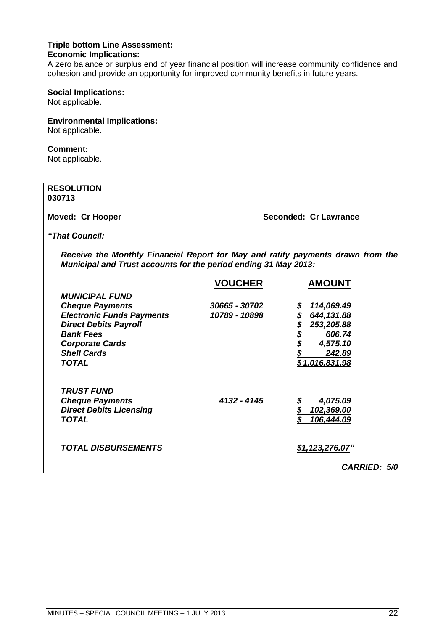#### **Triple bottom Line Assessment: Economic Implications:**

A zero balance or surplus end of year financial position will increase community confidence and cohesion and provide an opportunity for improved community benefits in future years.

#### **Social Implications:**

Not applicable.

#### **Environmental Implications:**

Not applicable.

#### **Comment:**

Not applicable.

#### **RESOLUTION 030713**

**Moved: Cr Hooper Seconded: Cr Lawrance** 

*"That Council:*

*Receive the Monthly Financial Report for May and ratify payments drawn from the Municipal and Trust accounts for the period ending 31 May 2013:*

|                                                 | <b>VOUCHER</b> | <b>AMOUNT</b>            |
|-------------------------------------------------|----------------|--------------------------|
| <b>MUNICIPAL FUND</b><br><b>Cheque Payments</b> | 30665 - 30702  | 114,069.49<br>\$         |
| <b>Electronic Funds Payments</b>                | 10789 - 10898  | \$<br>644,131.88         |
| <b>Direct Debits Payroll</b>                    |                | \$<br>253,205.88         |
| <b>Bank Fees</b>                                |                | \$<br>606.74             |
| <b>Corporate Cards</b>                          |                | \$<br>4,575.10           |
| <b>Shell Cards</b><br><b>TOTAL</b>              |                | 242.89<br>\$1,016,831.98 |
| <b>TRUST FUND</b>                               |                |                          |
| <b>Cheque Payments</b>                          | 4132 - 4145    | 4,075.09<br>\$           |
| <b>Direct Debits Licensing</b>                  |                | 102,369.00               |
| TOTAL                                           |                | 106,444.09               |
| <b>TOTAL DISBURSEMENTS</b>                      |                | \$1,123,276.07"          |
|                                                 |                | <b>CARRIED: 5/0</b>      |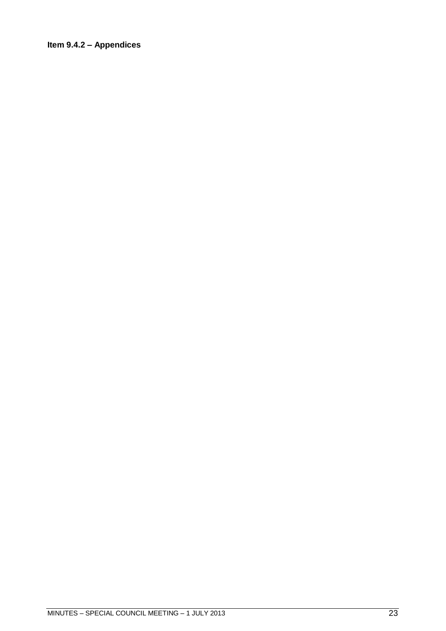#### <span id="page-22-0"></span>**Item 9.4.2 – Appendices**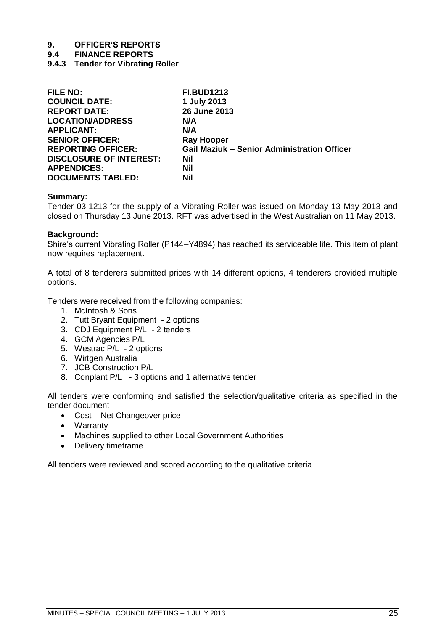# **9. OFFICER'S REPORTS**

**9.4 FINANCE REPORTS**

<span id="page-24-0"></span>**9.4.3 Tender for Vibrating Roller**

| <b>FILE NO:</b>                | <b>FI.BUD1213</b>                                  |
|--------------------------------|----------------------------------------------------|
| <b>COUNCIL DATE:</b>           | 1 July 2013                                        |
| <b>REPORT DATE:</b>            | 26 June 2013                                       |
| <b>LOCATION/ADDRESS</b>        | N/A                                                |
| <b>APPLICANT:</b>              | N/A                                                |
| <b>SENIOR OFFICER:</b>         | <b>Ray Hooper</b>                                  |
| <b>REPORTING OFFICER:</b>      | <b>Gail Maziuk – Senior Administration Officer</b> |
| <b>DISCLOSURE OF INTEREST:</b> | Nil                                                |
| <b>APPENDICES:</b>             | Nil                                                |
| <b>DOCUMENTS TABLED:</b>       | Nil                                                |

#### **Summary:**

Tender 03-1213 for the supply of a Vibrating Roller was issued on Monday 13 May 2013 and closed on Thursday 13 June 2013. RFT was advertised in the West Australian on 11 May 2013.

#### **Background:**

Shire's current Vibrating Roller (P144–Y4894) has reached its serviceable life. This item of plant now requires replacement.

A total of 8 tenderers submitted prices with 14 different options, 4 tenderers provided multiple options.

Tenders were received from the following companies:

- 1. McIntosh & Sons
- 2. Tutt Bryant Equipment 2 options
- 3. CDJ Equipment P/L 2 tenders
- 4. GCM Agencies P/L
- 5. Westrac P/L 2 options
- 6. Wirtgen Australia
- 7. JCB Construction P/L
- 8. Conplant P/L 3 options and 1 alternative tender

All tenders were conforming and satisfied the selection/qualitative criteria as specified in the tender document

- Cost Net Changeover price
- Warranty
- Machines supplied to other Local Government Authorities
- Delivery timeframe

All tenders were reviewed and scored according to the qualitative criteria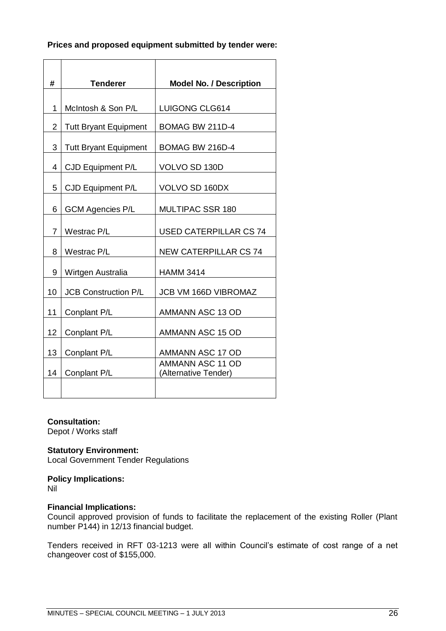#### **Prices and proposed equipment submitted by tender were:**

| #              | <b>Tenderer</b>              | <b>Model No. / Description</b>                  |
|----------------|------------------------------|-------------------------------------------------|
|                |                              |                                                 |
| 1              | McIntosh & Son P/L           | LUIGONG CLG614                                  |
| $\overline{2}$ | <b>Tutt Bryant Equipment</b> | BOMAG BW 211D-4                                 |
| 3              | <b>Tutt Bryant Equipment</b> | BOMAG BW 216D-4                                 |
| 4              | CJD Equipment P/L            | VOLVO SD 130D                                   |
| 5              | CJD Equipment P/L            | VOLVO SD 160DX                                  |
| 6              | <b>GCM Agencies P/L</b>      | <b>MULTIPAC SSR 180</b>                         |
| 7              | Westrac P/L                  | <b>USED CATERPILLAR CS 74</b>                   |
| 8              | Westrac P/L                  | <b>NEW CATERPILLAR CS 74</b>                    |
| 9              | Wirtgen Australia            | <b>HAMM 3414</b>                                |
| 10             | <b>JCB Construction P/L</b>  | <b>JCB VM 166D VIBROMAZ</b>                     |
| 11             | Conplant P/L                 | AMMANN ASC 13 OD                                |
| 12             | Conplant P/L                 | AMMANN ASC 15 OD                                |
| 13             | Conplant P/L                 | AMMANN ASC 17 OD                                |
| 14             | Conplant P/L                 | <b>AMMANN ASC 11 OD</b><br>(Alternative Tender) |
|                |                              |                                                 |

#### **Consultation:**

Depot / Works staff

#### **Statutory Environment:**

Local Government Tender Regulations

#### **Policy Implications:**

Nil

#### **Financial Implications:**

Council approved provision of funds to facilitate the replacement of the existing Roller (Plant number P144) in 12/13 financial budget.

Tenders received in RFT 03-1213 were all within Council's estimate of cost range of a net changeover cost of \$155,000.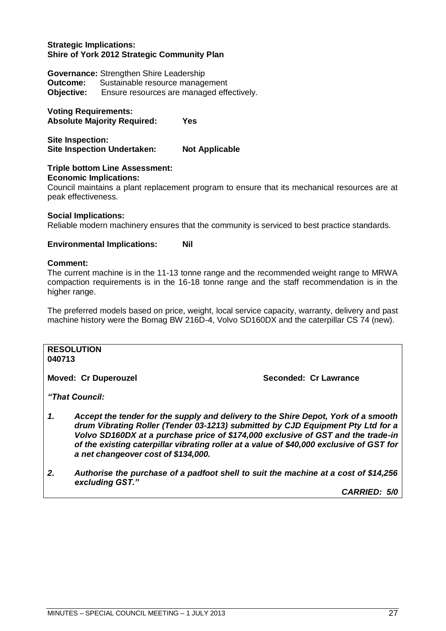#### **Strategic Implications: Shire of York 2012 Strategic Community Plan**

**Governance:** Strengthen Shire Leadership **Outcome:** Sustainable resource management **Objective:** Ensure resources are managed effectively.

**Voting Requirements: Absolute Majority Required: Yes**

**Site Inspection: Site Inspection Undertaken: Not Applicable**

#### **Triple bottom Line Assessment: Economic Implications:**

Council maintains a plant replacement program to ensure that its mechanical resources are at peak effectiveness.

#### **Social Implications:**

Reliable modern machinery ensures that the community is serviced to best practice standards.

#### **Environmental Implications: Nil**

#### **Comment:**

The current machine is in the 11-13 tonne range and the recommended weight range to MRWA compaction requirements is in the 16-18 tonne range and the staff recommendation is in the higher range.

The preferred models based on price, weight, local service capacity, warranty, delivery and past machine history were the Bomag BW 216D-4, Volvo SD160DX and the caterpillar CS 74 (new).

#### **RESOLUTION 040713**

**Moved: Cr Duperouzel Seconded: Cr Lawrance**

*"That Council:*

- *1. Accept the tender for the supply and delivery to the Shire Depot, York of a smooth drum Vibrating Roller (Tender 03-1213) submitted by CJD Equipment Pty Ltd for a Volvo SD160DX at a purchase price of \$174,000 exclusive of GST and the trade-in of the existing caterpillar vibrating roller at a value of \$40,000 exclusive of GST for a net changeover cost of \$134,000.*
- *2. Authorise the purchase of a padfoot shell to suit the machine at a cost of \$14,256 excluding GST."*

*CARRIED: 5/0*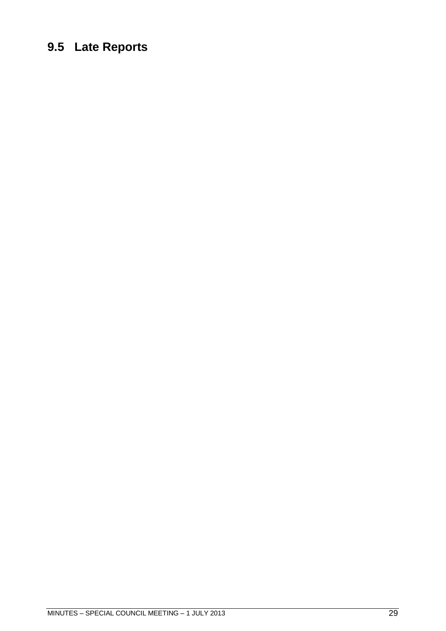### <span id="page-28-0"></span>**9.5 Late Reports**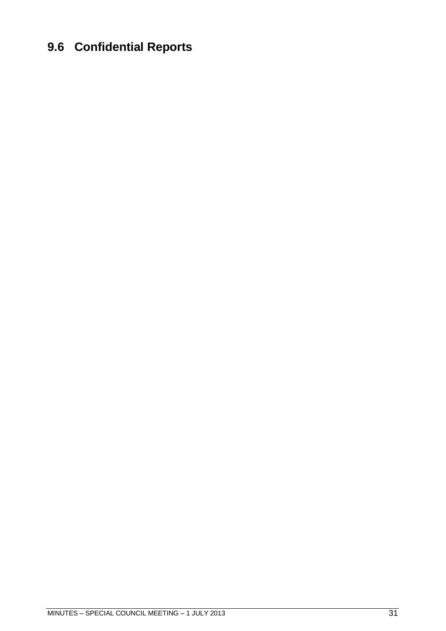# <span id="page-30-0"></span>**9.6 Confidential Reports**